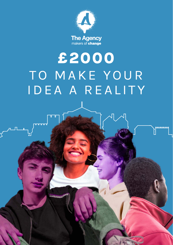

# **£2000** TO MAKE YOUR IDEA A REALITY